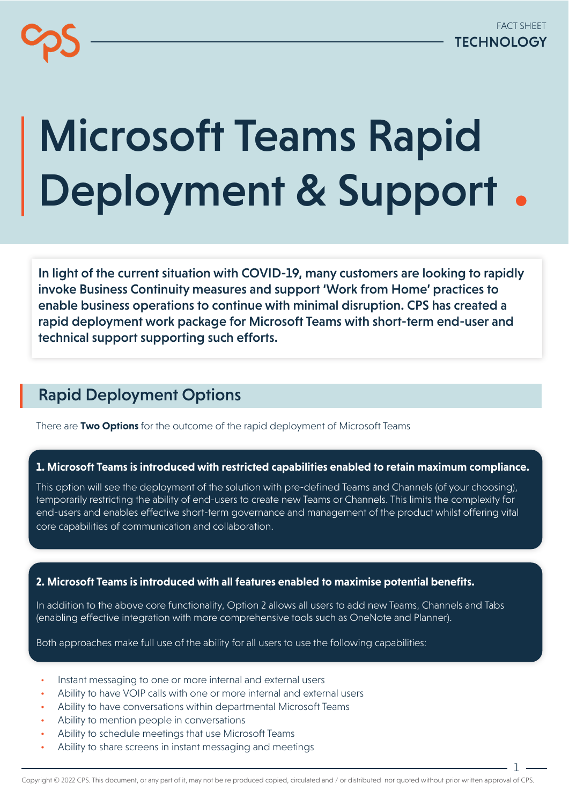# Microsoft Teams Rapid Deployment & Support

In light of the current situation with COVID-19, many customers are looking to rapidly invoke Business Continuity measures and support 'Work from Home' practices to enable business operations to continue with minimal disruption. CPS has created a rapid deployment work package for Microsoft Teams with short-term end-user and technical support supporting such efforts.

## Rapid Deployment Options

There are **Two Options** for the outcome of the rapid deployment of Microsoft Teams

#### **1. Microsoft Teams is introduced with restricted capabilities enabled to retain maximum compliance.**

This option will see the deployment of the solution with pre-defined Teams and Channels (of your choosing), temporarily restricting the ability of end-users to create new Teams or Channels. This limits the complexity for end-users and enables effective short-term governance and management of the product whilst offering vital core capabilities of communication and collaboration.

#### **2. Microsoft Teams is introduced with all features enabled to maximise potential benefits.**

In addition to the above core functionality, Option 2 allows all users to add new Teams, Channels and Tabs (enabling effective integration with more comprehensive tools such as OneNote and Planner).

Both approaches make full use of the ability for all users to use the following capabilities:

- Instant messaging to one or more internal and external users
- Ability to have VOIP calls with one or more internal and external users
- Ability to have conversations within departmental Microsoft Teams
- Ability to mention people in conversations
- Ability to schedule meetings that use Microsoft Teams
- Ability to share screens in instant messaging and meetings

1